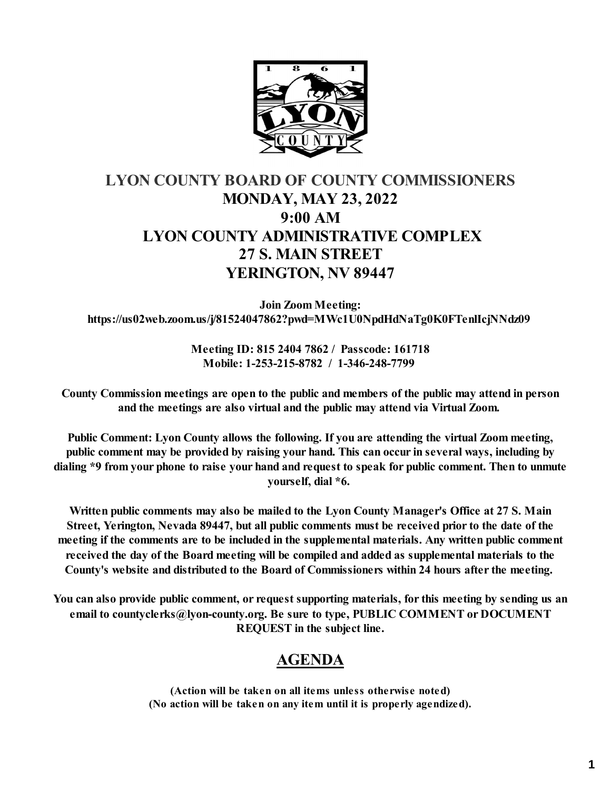

## **LYON COUNTY BOARD OF COUNTY COMMISSIONERS MONDAY, MAY 23, 2022 9:00 AM LYON COUNTY ADMINISTRATIVE COMPLEX 27 S. MAIN STREET YERINGTON, NV 89447**

**Join Zoom Meeting: https://us02web.zoom.us/j/81524047862?pwd=MWc1U0NpdHdNaTg0K0FTenlIcjNNdz09** 

> **Meeting ID: 815 2404 7862 / Passcode: 161718 Mobile: 1-253-215-8782 / 1-346-248-7799**

**County Commission meetings are open to the public and members of the public may attend in person and the meetings are also virtual and the public may attend via Virtual Zoom.** 

**Public Comment: Lyon County allows the following. If you are attending the virtual Zoom meeting, public comment may be provided by raising your hand. This can occur in several ways, including by dialing \*9 from your phone to raise your hand and request to speak for public comment. Then to unmute yourself, dial \*6.** 

**Written public comments may also be mailed to the Lyon County Manager's Office at 27 S. Main Street, Yerington, Nevada 89447, but all public comments must be received prior to the date of the meeting if the comments are to be included in the supplemental materials. Any written public comment received the day of the Board meeting will be compiled and added as supplemental materials to the County's website and distributed to the Board of Commissioners within 24 hours after the meeting.** 

**You can also provide public comment, or request supporting materials, for this meeting by sending us an email to countyclerks@lyon-county.org. Be sure to type, PUBLIC COMMENT or DOCUMENT REQUEST in the subject line.**

## **AGENDA**

**(Action will be taken on all items unless otherwise noted) (No action will be taken on any item until it is properly agendized).**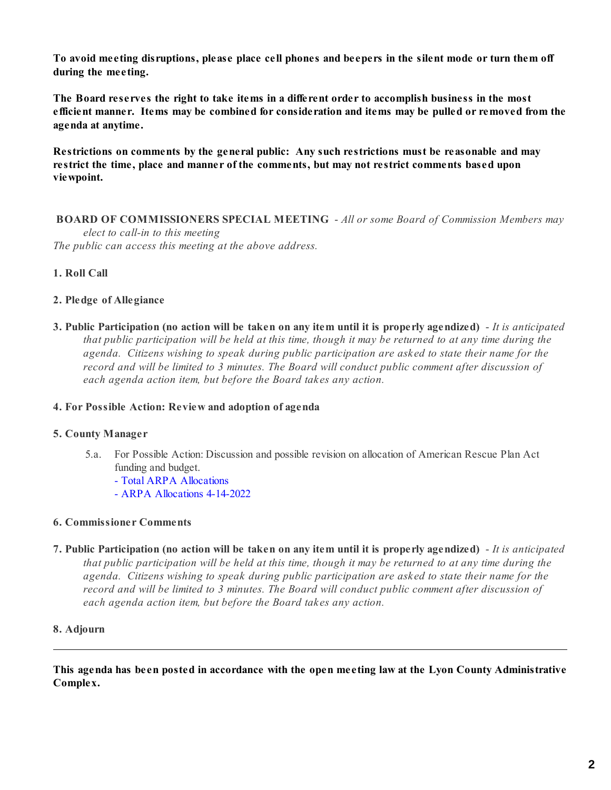**To avoid meeting disruptions, please place cell phones and beepers in the silent mode or turn them off during the meeting.**

**The Board reserves the right to take items in a different order to accomplish business in the most efficient manner. Items may be combined for consideration and items may be pulled or removed from the agenda at anytime.** 

**Restrictions on comments by the general public: Any such restrictions must be reasonable and may restrict the time, place and manner of the comments, but may not restrict comments based upon viewpoint.**

 **BOARD OF COMMISSIONERS SPECIAL MEETING** - *All or some Board of Commission Members may elect to call-in to this meeting The public can access this meeting at the above address.*

### **1. Roll Call**

#### **2. Pledge of Allegiance**

**3. Public Participation (no action will be taken on any item until it is properly agendized)** - *It is anticipated that public participation will be held at this time, though it may be returned to at any time during the agenda. Citizens wishing to speak during public participation are asked to state their name for the record and will be limited to 3 minutes. The Board will conduct public comment after discussion of each agenda action item, but before the Board takes any action.*

#### **4. For Possible Action: Review and adoption of agenda**

#### **5. County Manager**

- 5.a. For Possible Action: Discussion and possible revision on allocation of American Rescue Plan Act funding and budget.
	- [Total ARPA Allocations](https://legistarweb-production.s3.amazonaws.com/uploads/attachment/pdf/1383340/ARPA_Allocations.pdf)
	- [ARPA Allocations 4-14-2022](https://legistarweb-production.s3.amazonaws.com/uploads/attachment/pdf/1383341/ARPA_Allocations_as_of_4-14-2022.pdf)

#### **6. Commissioner Comments**

**7. Public Participation (no action will be taken on any item until it is properly agendized)** - *It is anticipated that public participation will be held at this time, though it may be returned to at any time during the agenda. Citizens wishing to speak during public participation are asked to state their name for the record and will be limited to 3 minutes. The Board will conduct public comment after discussion of each agenda action item, but before the Board takes any action.*

#### **8. Adjourn**

**This agenda has been posted in accordance with the open meeting law at the Lyon County Administrative Complex.**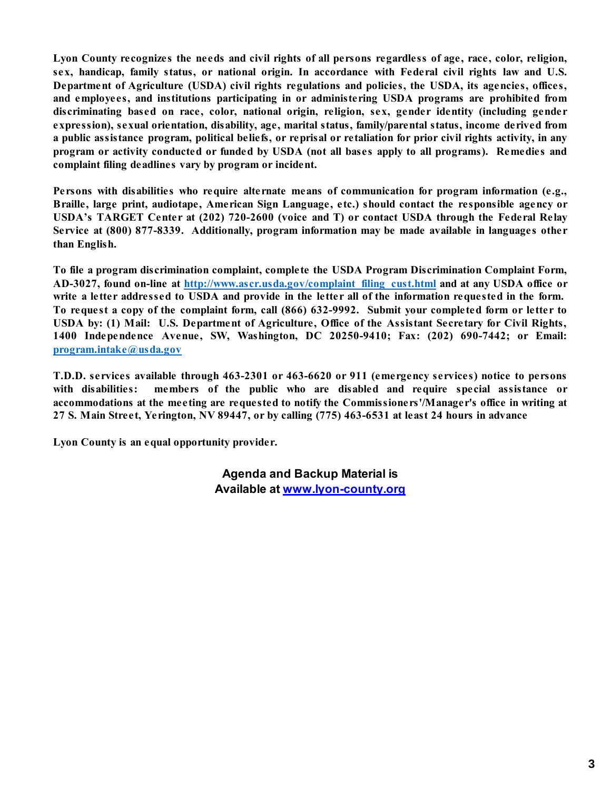**Lyon County recognizes the needs and civil rights of all persons regardless of age, race, color, religion, sex, handicap, family status, or national origin. In accordance with Federal civil rights law and U.S. Department of Agriculture (USDA) civil rights regulations and policies, the USDA, its agencies, offices, and employees, and institutions participating in or administering USDA programs are prohibited from discriminating based on race, color, national origin, religion, sex, gender identity (including gender expression), sexual orientation, disability, age, marital status, family/parental status, income derived from a public assistance program, political beliefs, or reprisal or retaliation for prior civil rights activity, in any program or activity conducted or funded by USDA (not all bases apply to all programs). Remedies and complaint filing deadlines vary by program or incident.**

**Persons with disabilities who require alternate means of communication for program information (e.g., Braille, large print, audiotape, American Sign Language, etc.) should contact the responsible agency or USDA's TARGET Center at (202) 720-2600 (voice and T) or contact USDA through the Federal Relay Service at (800) 877-8339. Additionally, program information may be made available in languages other than English.**

**To file a program discrimination complaint, complete the USDA Program Discrimination Complaint Form, AD-3027, found on-line at [http://www.ascr.usda.gov/complaint\\_filing\\_cust.html](http://www.ascr.usda.gov/complaint_filing_cust.html) and at any USDA office or write a letter addressed to USDA and provide in the letter all of the information requested in the form. To request a copy of the complaint form, call (866) 632-9992. Submit your completed form or letter to USDA by: (1) Mail: U.S. Department of Agriculture, Office of the Assistant Secretary for Civil Rights, 1400 Independence Avenue, SW, Washington, DC 20250-9410; Fax: (202) 690-7442; or Email: [program.intake@usda.gov](mailto:program.intake@usda.gov)**

**T.D.D. services available through 463-2301 or 463-6620 or 911 (emergency services) notice to persons with disabilities: members of the public who are disabled and require special assistance or accommodations at the meeting are requested to notify the Commissioners'/Manager's office in writing at 27 S. Main Street, Yerington, NV 89447, or by calling (775) 463-6531 at least 24 hours in advance**

**Lyon County is an equal opportunity provider.** 

**Agenda and Backup Material is Available at [www.lyon-county.org](http://www.lyon-county.org/)**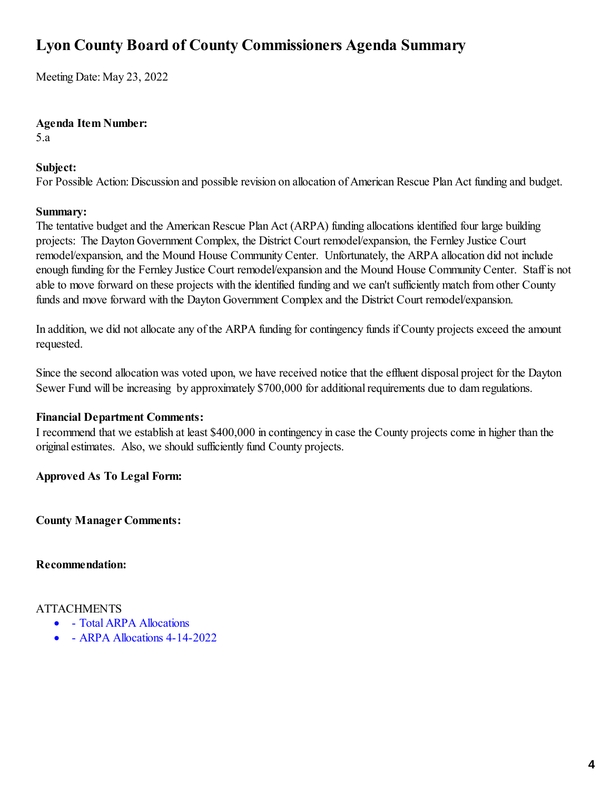# **Lyon County Board of County Commissioners Agenda Summary**

Meeting Date: May 23, 2022

**Agenda Item Number:**

5.a

## **Subject:**

For Possible Action: Discussion and possible revision on allocation of American Rescue Plan Act funding and budget.

## **Summary:**

The tentative budget and the American Rescue Plan Act (ARPA) funding allocations identified four large building projects: The Dayton Government Complex, the District Court remodel/expansion, the Fernley Justice Court remodel/expansion, and the Mound House Community Center. Unfortunately, the ARPA allocation did not include enough funding for the Fernley Justice Court remodel/expansion and the Mound House Community Center. Staff is not able to move forward on these projects with the identified funding and we can't sufficiently match from other County funds and move forward with the Dayton Government Complex and the District Court remodel/expansion.

In addition, we did not allocate any of the ARPA funding for contingency funds if County projects exceed the amount requested.

Since the second allocation was voted upon, we have received notice that the effluent disposal project for the Dayton Sewer Fund will be increasing by approximately \$700,000 for additional requirements due to dam regulations.

## **Financial Department Comments:**

I recommend that we establish at least \$400,000 in contingency in case the County projects come in higher than the original estimates. Also, we should sufficiently fund County projects.

**Approved As To Legal Form:**

**County Manager Comments:**

**Recommendation:**

## ATTACHMENTS

- [Total ARPA Allocations](https://legistarweb-production.s3.amazonaws.com/uploads/attachment/pdf/1383340/ARPA_Allocations.pdf)
- [ARPA Allocations 4-14-2022](https://legistarweb-production.s3.amazonaws.com/uploads/attachment/pdf/1383341/ARPA_Allocations_as_of_4-14-2022.pdf)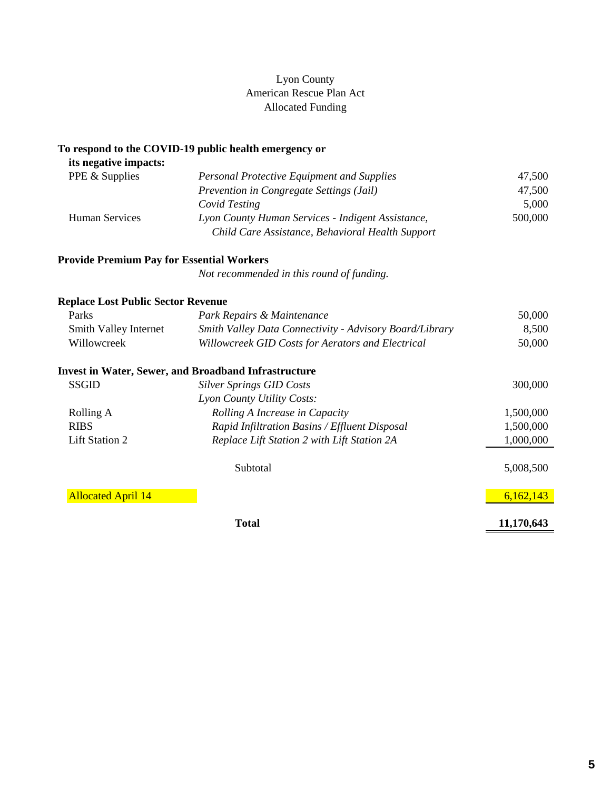## Lyon County American Rescue Plan Act Allocated Funding

#### **To respond to the COVID-19 public health emergency or**

| its negative impacts: |                                                                                                       |         |
|-----------------------|-------------------------------------------------------------------------------------------------------|---------|
| PPE & Supplies        | <b>Personal Protective Equipment and Supplies</b>                                                     | 47.500  |
|                       | Prevention in Congregate Settings (Jail)                                                              | 47,500  |
|                       | Covid Testing                                                                                         | 5,000   |
| <b>Human Services</b> | Lyon County Human Services - Indigent Assistance,<br>Child Care Assistance, Behavioral Health Support | 500,000 |

## **Provide Premium Pay for Essential Workers**

*Not recommended in this round of funding.*

| <b>Replace Lost Public Sector Revenue</b> |                                                             |           |  |  |
|-------------------------------------------|-------------------------------------------------------------|-----------|--|--|
| Parks                                     | Park Repairs & Maintenance                                  | 50,000    |  |  |
| Smith Valley Internet                     | Smith Valley Data Connectivity - Advisory Board/Library     | 8,500     |  |  |
| Willowcreek                               | Willowcreek GID Costs for Aerators and Electrical           |           |  |  |
|                                           | <b>Invest in Water, Sewer, and Broadband Infrastructure</b> |           |  |  |
| <b>SSGID</b>                              | <b>Silver Springs GID Costs</b>                             | 300,000   |  |  |
|                                           | Lyon County Utility Costs:                                  |           |  |  |
| Rolling A                                 | Rolling A Increase in Capacity                              | 1,500,000 |  |  |
| <b>RIBS</b>                               | Rapid Infiltration Basins / Effluent Disposal               | 1,500,000 |  |  |
| Lift Station 2                            | Replace Lift Station 2 with Lift Station 2A                 | 1,000,000 |  |  |

|                           | Subtotal | 5,008,500 |
|---------------------------|----------|-----------|
| <b>Allocated April 14</b> |          | 6,162,143 |

**Total 11,170,643**